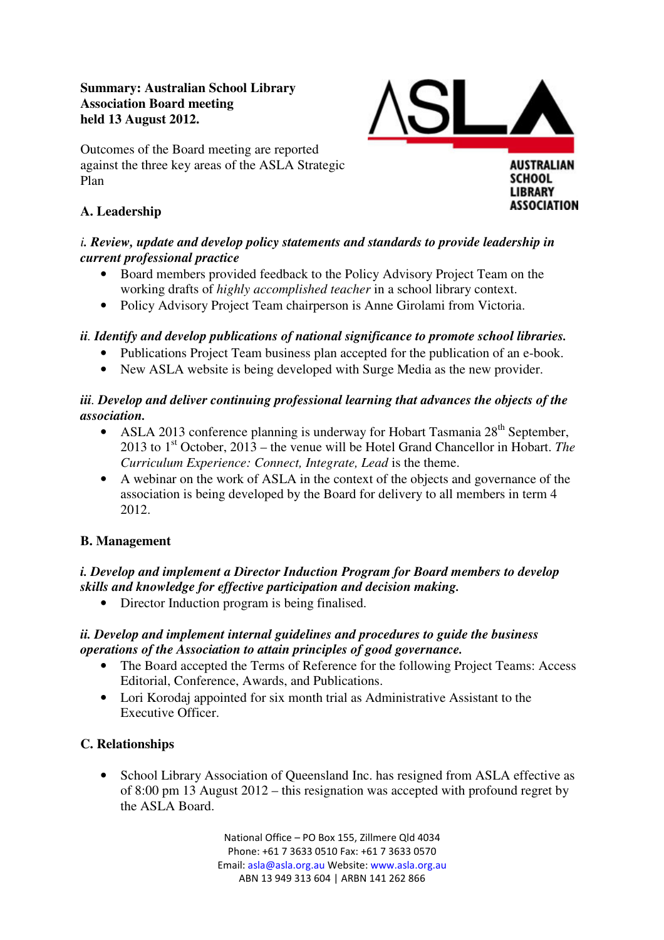### **Summary: Australian School Library Association Board meeting held 13 August 2012.**



#### Outcomes of the Board meeting are reported against the three key areas of the ASLA Strategic Plan

# **A. Leadership**

### *i. Review, update and develop policy statements and standards to provide leadership in current professional practice*

- Board members provided feedback to the Policy Advisory Project Team on the working drafts of *highly accomplished teacher* in a school library context.
- Policy Advisory Project Team chairperson is Anne Girolami from Victoria.

# *ii. Identify and develop publications of national significance to promote school libraries.*

- Publications Project Team business plan accepted for the publication of an e-book.
- New ASLA website is being developed with Surge Media as the new provider.

# *iii. Develop and deliver continuing professional learning that advances the objects of the association.*

- ASLA 2013 conference planning is underway for Hobart Tasmania  $28<sup>th</sup>$  September, 2013 to 1st October, 2013 – the venue will be Hotel Grand Chancellor in Hobart. *The Curriculum Experience: Connect, Integrate, Lead* is the theme.
- A webinar on the work of ASLA in the context of the objects and governance of the association is being developed by the Board for delivery to all members in term 4 2012.

# **B. Management**

# *i. Develop and implement a Director Induction Program for Board members to develop skills and knowledge for effective participation and decision making.*

• Director Induction program is being finalised.

# *ii. Develop and implement internal guidelines and procedures to guide the business operations of the Association to attain principles of good governance.*

- The Board accepted the Terms of Reference for the following Project Teams: Access Editorial, Conference, Awards, and Publications.
- Lori Korodaj appointed for six month trial as Administrative Assistant to the Executive Officer.

# **C. Relationships**

• School Library Association of Queensland Inc. has resigned from ASLA effective as of 8:00 pm 13 August 2012 – this resignation was accepted with profound regret by the ASLA Board.

> National Office – PO Box 155, Zillmere Qld 4034 Phone: +61 7 3633 0510 Fax: +61 7 3633 0570 Email: asla@asla.org.au Website: www.asla.org.au ABN 13 949 313 604 | ARBN 141 262 866